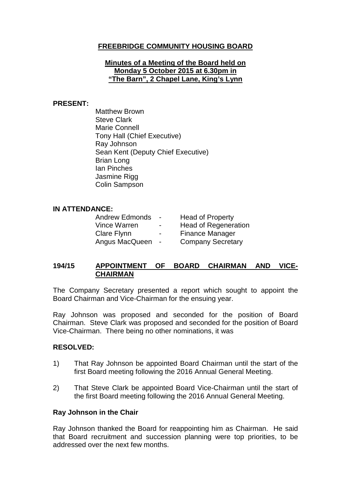# **FREEBRIDGE COMMUNITY HOUSING BOARD**

#### **Minutes of a Meeting of the Board held on Monday 5 October 2015 at 6.30pm in "The Barn", 2 Chapel Lane, King's Lynn**

#### **PRESENT:**

Matthew Brown Steve Clark Marie Connell Tony Hall (Chief Executive) Ray Johnson Sean Kent (Deputy Chief Executive) Brian Long Ian Pinches Jasmine Rigg Colin Sampson

#### **IN ATTENDANCE:**

| <b>Andrew Edmonds</b> | $\sim$                   | <b>Head of Property</b>     |
|-----------------------|--------------------------|-----------------------------|
| Vince Warren          | $\blacksquare$           | <b>Head of Regeneration</b> |
| Clare Flynn           | $\overline{\phantom{0}}$ | Finance Manager             |
| Angus MacQueen        | $\sim$                   | <b>Company Secretary</b>    |

# **194/15 APPOINTMENT OF BOARD CHAIRMAN AND VICE-CHAIRMAN**

The Company Secretary presented a report which sought to appoint the Board Chairman and Vice-Chairman for the ensuing year.

Ray Johnson was proposed and seconded for the position of Board Chairman. Steve Clark was proposed and seconded for the position of Board Vice-Chairman. There being no other nominations, it was

### **RESOLVED:**

- 1) That Ray Johnson be appointed Board Chairman until the start of the first Board meeting following the 2016 Annual General Meeting.
- 2) That Steve Clark be appointed Board Vice-Chairman until the start of the first Board meeting following the 2016 Annual General Meeting.

#### **Ray Johnson in the Chair**

Ray Johnson thanked the Board for reappointing him as Chairman. He said that Board recruitment and succession planning were top priorities, to be addressed over the next few months.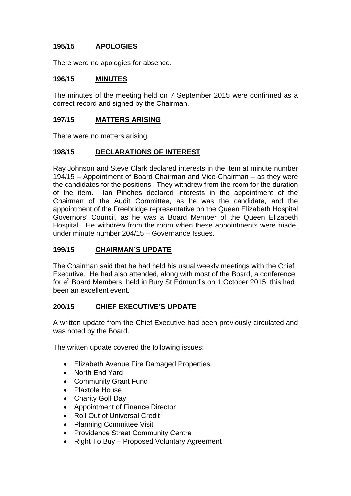# **195/15 APOLOGIES**

There were no apologies for absence.

### **196/15 MINUTES**

The minutes of the meeting held on 7 September 2015 were confirmed as a correct record and signed by the Chairman.

## **197/15 MATTERS ARISING**

There were no matters arising.

# **198/15 DECLARATIONS OF INTEREST**

Ray Johnson and Steve Clark declared interests in the item at minute number 194/15 – Appointment of Board Chairman and Vice-Chairman – as they were the candidates for the positions. They withdrew from the room for the duration of the item. Ian Pinches declared interests in the appointment of the Chairman of the Audit Committee, as he was the candidate, and the appointment of the Freebridge representative on the Queen Elizabeth Hospital Governors' Council, as he was a Board Member of the Queen Elizabeth Hospital. He withdrew from the room when these appointments were made, under minute number 204/15 – Governance Issues.

### **199/15 CHAIRMAN'S UPDATE**

The Chairman said that he had held his usual weekly meetings with the Chief Executive. He had also attended, along with most of the Board, a conference for e<sup>2</sup> Board Members, held in Bury St Edmund's on 1 October 2015; this had been an excellent event.

### **200/15 CHIEF EXECUTIVE'S UPDATE**

A written update from the Chief Executive had been previously circulated and was noted by the Board.

The written update covered the following issues:

- Elizabeth Avenue Fire Damaged Properties
- North End Yard
- Community Grant Fund
- Plaxtole House
- Charity Golf Day
- Appointment of Finance Director
- Roll Out of Universal Credit
- Planning Committee Visit
- Providence Street Community Centre
- Right To Buy Proposed Voluntary Agreement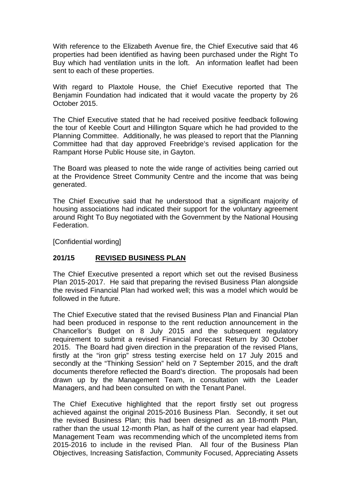With reference to the Elizabeth Avenue fire, the Chief Executive said that 46 properties had been identified as having been purchased under the Right To Buy which had ventilation units in the loft. An information leaflet had been sent to each of these properties.

With regard to Plaxtole House, the Chief Executive reported that The Benjamin Foundation had indicated that it would vacate the property by 26 October 2015.

The Chief Executive stated that he had received positive feedback following the tour of Keeble Court and Hillington Square which he had provided to the Planning Committee. Additionally, he was pleased to report that the Planning Committee had that day approved Freebridge's revised application for the Rampant Horse Public House site, in Gayton.

The Board was pleased to note the wide range of activities being carried out at the Providence Street Community Centre and the income that was being generated.

The Chief Executive said that he understood that a significant majority of housing associations had indicated their support for the voluntary agreement around Right To Buy negotiated with the Government by the National Housing Federation.

[Confidential wording]

### **201/15 REVISED BUSINESS PLAN**

The Chief Executive presented a report which set out the revised Business Plan 2015-2017. He said that preparing the revised Business Plan alongside the revised Financial Plan had worked well; this was a model which would be followed in the future.

The Chief Executive stated that the revised Business Plan and Financial Plan had been produced in response to the rent reduction announcement in the Chancellor's Budget on 8 July 2015 and the subsequent regulatory requirement to submit a revised Financial Forecast Return by 30 October 2015. The Board had given direction in the preparation of the revised Plans, firstly at the "iron grip" stress testing exercise held on 17 July 2015 and secondly at the "Thinking Session" held on 7 September 2015, and the draft documents therefore reflected the Board's direction. The proposals had been drawn up by the Management Team, in consultation with the Leader Managers, and had been consulted on with the Tenant Panel.

The Chief Executive highlighted that the report firstly set out progress achieved against the original 2015-2016 Business Plan. Secondly, it set out the revised Business Plan; this had been designed as an 18-month Plan, rather than the usual 12-month Plan, as half of the current year had elapsed. Management Team was recommending which of the uncompleted items from 2015-2016 to include in the revised Plan. All four of the Business Plan Objectives, Increasing Satisfaction, Community Focused, Appreciating Assets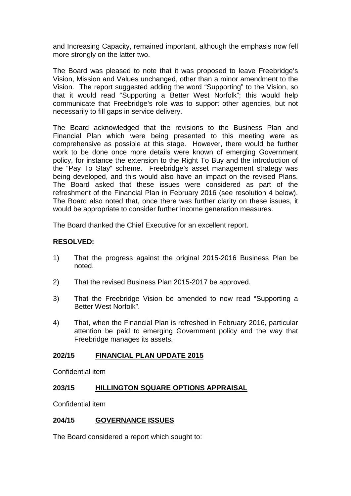and Increasing Capacity, remained important, although the emphasis now fell more strongly on the latter two.

The Board was pleased to note that it was proposed to leave Freebridge's Vision, Mission and Values unchanged, other than a minor amendment to the Vision. The report suggested adding the word "Supporting" to the Vision, so that it would read "Supporting a Better West Norfolk"; this would help communicate that Freebridge's role was to support other agencies, but not necessarily to fill gaps in service delivery.

The Board acknowledged that the revisions to the Business Plan and Financial Plan which were being presented to this meeting were as comprehensive as possible at this stage. However, there would be further work to be done once more details were known of emerging Government policy, for instance the extension to the Right To Buy and the introduction of the "Pay To Stay" scheme. Freebridge's asset management strategy was being developed, and this would also have an impact on the revised Plans. The Board asked that these issues were considered as part of the refreshment of the Financial Plan in February 2016 (see resolution 4 below). The Board also noted that, once there was further clarity on these issues, it would be appropriate to consider further income generation measures.

The Board thanked the Chief Executive for an excellent report.

# **RESOLVED:**

- 1) That the progress against the original 2015-2016 Business Plan be noted.
- 2) That the revised Business Plan 2015-2017 be approved.
- 3) That the Freebridge Vision be amended to now read "Supporting a Better West Norfolk".
- 4) That, when the Financial Plan is refreshed in February 2016, particular attention be paid to emerging Government policy and the way that Freebridge manages its assets.

### **202/15 FINANCIAL PLAN UPDATE 2015**

Confidential item

### **203/15 HILLINGTON SQUARE OPTIONS APPRAISAL**

Confidential item

### **204/15 GOVERNANCE ISSUES**

The Board considered a report which sought to: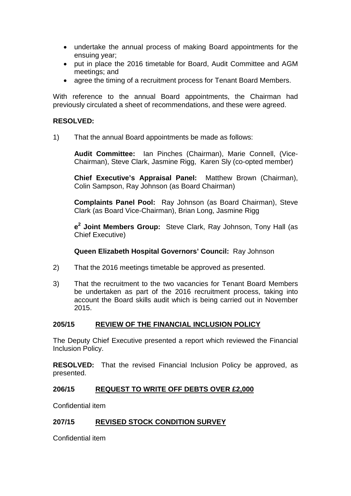- undertake the annual process of making Board appointments for the ensuing year;
- put in place the 2016 timetable for Board, Audit Committee and AGM meetings; and
- agree the timing of a recruitment process for Tenant Board Members.

With reference to the annual Board appointments, the Chairman had previously circulated a sheet of recommendations, and these were agreed.

## **RESOLVED:**

1) That the annual Board appointments be made as follows:

**Audit Committee:** Ian Pinches (Chairman), Marie Connell, (Vice-Chairman), Steve Clark, Jasmine Rigg, Karen Sly (co-opted member)

**Chief Executive's Appraisal Panel:** Matthew Brown (Chairman), Colin Sampson, Ray Johnson (as Board Chairman)

**Complaints Panel Pool:** Ray Johnson (as Board Chairman), Steve Clark (as Board Vice-Chairman), Brian Long, Jasmine Rigg

**e<sup>2</sup> Joint Members Group:** Steve Clark, Ray Johnson, Tony Hall (as Chief Executive)

**Queen Elizabeth Hospital Governors' Council:** Ray Johnson

- 2) That the 2016 meetings timetable be approved as presented.
- 3) That the recruitment to the two vacancies for Tenant Board Members be undertaken as part of the 2016 recruitment process, taking into account the Board skills audit which is being carried out in November 2015.

### **205/15 REVIEW OF THE FINANCIAL INCLUSION POLICY**

The Deputy Chief Executive presented a report which reviewed the Financial Inclusion Policy.

**RESOLVED:** That the revised Financial Inclusion Policy be approved, as presented.

### **206/15 REQUEST TO WRITE OFF DEBTS OVER £2,000**

Confidential item

### **207/15 REVISED STOCK CONDITION SURVEY**

Confidential item